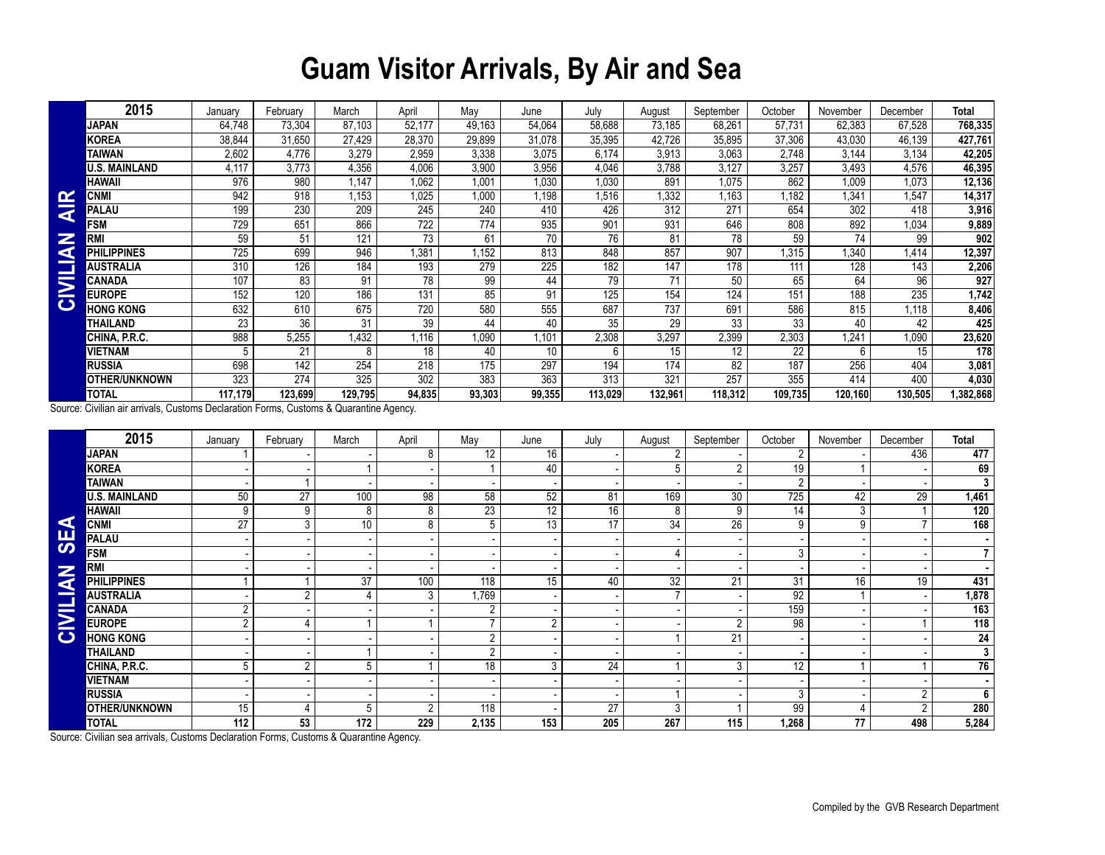## **Guam Visitor Arrivals, By Air and Sea**

|                         | 2015                 | January | February | March        | April            | Mav    | June   | July    | August  | September | October | November | December | <b>Total</b> |
|-------------------------|----------------------|---------|----------|--------------|------------------|--------|--------|---------|---------|-----------|---------|----------|----------|--------------|
|                         | JAPAN                | 64,748  | 73,304   | 87,103       | 52,177           | 49,163 | 54,064 | 58,688  | 73,185  | 68,261    | 57,731  | 62,383   | 67,528   | 768,335      |
|                         | KOREA                | 38,844  | 31,650   | 27,429       | 28,370           | 29,899 | 31,078 | 35,395  | 42,726  | 35,895    | 37,306  | 43,030   | 46,139   | 427,761      |
|                         | TAIWAN               | 2,602   | 4.776    | 3,279        | 2,959            | 3,338  | 3,075  | 6,174   | 3,913   | 3,063     | 2,748   | 3,144    | 3,134    | 42,205       |
|                         | U.S. MAINLAND        | 4,117   | 3.773    | 4,356        | 4,006            | 3,900  | 3,956  | 4,046   | 3,788   | 3,127     | 3,257   | 3,493    | 4,576    | 46,395       |
|                         | HAWAII               | 976     | 980      | 1.147        | 1,062            | 1.001  | 1,030  | 1,030   | 891     | 1,075     | 862     | 1,009    | 1,073    | 12,136       |
| ≃                       | CNMI                 | 942     | 918      | 1.153        | 1,025            | 1,000  | .198   | 1,516   | 1,332   | 1,163     | .182    | 1,341    | 1.547    | 14,317       |
| $\overline{\textbf{z}}$ | PALAU                | 199     | 230      | 209          | 245              | 240    | 410    | 426     | 312     | 271       | 654     | 302      | 418      | 3,916        |
|                         | <b>FSM</b>           | 729     | 651      | 866          | 722              | 774    | 935    | 901     | 931     | 646       | 808     | 892      | 1,034    | 9,889        |
| Z                       | <b>RMI</b>           | 59      | 51       | 121          | 73               | 61     | 70     | 76      | 81      | 78        | 59      | 74       | 99       | 902          |
| G                       | PHILIPPINES          | 725     | 699      | 946          | .381             | 1,152  | 813    | 848     | 857     | 907       | .315    | 1,340    | 1,414    | 12,397       |
|                         | AUSTRALIA            | 310     | 126      | 184          | 193              | 279    | 225    | 182     | 147     | 178       | 111     | 128      | 143      | 2,206        |
| $\overline{\ge}$        | CANADA               | 107     | 83       | 91           | 78               | 99     | 44     | 79      | 71      | 50        | 65      | 64       | 96       | 927          |
|                         | <b>EUROPE</b>        | 152     | 120      | 186          | 131              | 85     | 91     | 125     | 154     | 124       | 151     | 188      | 235      | 1,742        |
| $\mathbf C$             | <b>HONG KONG</b>     | 632     | 610      | 675          | 720              | 580    | 555    | 687     | 737     | 691       | 586     | 815      | 1,118    | 8,406        |
|                         | THAILAND             | 23      | 36       | 31           | 39               | 44     | 40     | 35      | 29      | 33        | 33      | 40       | 42       | 425          |
|                         | CHINA, P.R.C.        | 988     | 5,255    | $\sqrt{432}$ | .116             | 1,090  | .101   | 2,308   | 3,297   | 2,399     | 2,303   | 1,241    | 1,090    | 23,620       |
|                         | VIETNAM              | 5       | 21       | 8            | 18               | 40     | 10     | 6       | 15      | 12        | 22      | 6        | 15       | 178          |
|                         | RUSSIA               | 698     | 142      | 254          | 218              | 175    | 297    | 194     | 174     | 82        | 187     | 256      | 404      | 3,081        |
|                         | <b>OTHER/UNKNOWN</b> | 323     | 274      | 325          | $\overline{302}$ | 383    | 363    | 313     | 321     | 257       | 355     | 414      | 400      | 4,030        |
|                         | TOTAL                | 117,179 | 123,699  | 129,795      | 94,835           | 93,303 | 99,355 | 113,029 | 132,961 | 118,312   | 109,735 | 120,160  | 130,505  | 382,868,     |

|            | <b>CNMI</b>                                                                            | 942             | 918              | 1,153           | 1,025            | 1,000           | 1,198          | 1,516   | 1,332            | 1,163           | 1,182           | 1,341           | 1,547          | 14,317          |
|------------|----------------------------------------------------------------------------------------|-----------------|------------------|-----------------|------------------|-----------------|----------------|---------|------------------|-----------------|-----------------|-----------------|----------------|-----------------|
| <b>AIR</b> | <b>PALAU</b>                                                                           | 199             | 230              | 209             | 245              | 240             | 410            | 426     | 312              | 271             | 654             | 302             | 418            | 3,916           |
|            | <b>FSM</b>                                                                             | 729             | 651              | 866             | $\overline{722}$ | 774             | 935            | 901     | 931              | 646             | 808             | 892             | 1,034          | 9,889           |
|            | <b>RMI</b>                                                                             | 59              | 51               | 121             | $\overline{73}$  | 61              | 70             | 76      | 81               | $\overline{78}$ | 59              | 74              | 99             | 902             |
| CIVILIAN   | <b>PHILIPPINES</b>                                                                     | 725             | 699              | 946             | 1,381            | 1,152           | 813            | 848     | 857              | 907             | 1,315           | 1,340           | 1,414          | 12,397          |
|            | <b>AUSTRALIA</b>                                                                       | 310             | 126              | 184             | 193              | 279             | 225            | 182     | $\overline{147}$ | 178             | 111             | 128             | 143            | 2,206           |
|            | <b>CANADA</b>                                                                          | 107             | 83               | 91              | $\overline{78}$  | 99              | 44             | 79      | $\overline{71}$  | 50              | 65              | 64              | 96             | 927             |
|            | <b>EUROPE</b>                                                                          | 152             | 120              | 186             | 131              | 85              | 91             | 125     | 154              | 124             | 151             | 188             | 235            | 1,742           |
|            | <b>HONG KONG</b>                                                                       | 632             | 610              | 675             | 720              | 580             | 555            | 687     | 737              | 691             | 586             | 815             | 1,118          | 8,406           |
|            | <b>THAILAND</b>                                                                        | $\overline{23}$ | $\overline{36}$  | $\overline{31}$ | $\overline{39}$  | 44              | 40             | 35      | $\overline{29}$  | $\overline{33}$ | $\overline{33}$ | 40              | 42             | 425             |
|            | CHINA, P.R.C.                                                                          | 988             | 5,255            | 1,432           | 1,116            | 1,090           | 1.101          | 2,308   | 3,297            | 2,399           | 2,303           | 1,241           | 1,090          | 23,620          |
|            | <b>VIETNAM</b>                                                                         | 5               | 21               | 8               | 18               | 40              | 10             | 6       | 15               | 12 <sup>2</sup> | 22              | 6               | 15             | 178             |
|            | <b>RUSSIA</b>                                                                          | 698             | $\overline{142}$ | 254             | 218              | 175             | 297            | 194     | 174              | $\overline{82}$ | 187             | 256             | 404            | 3,081           |
|            | OTHER/UNKNOWN                                                                          | 323             | 274              | 325             | 302              | 383             | 363            | 313     | 321              | 257             | 355             | 414             | 400            | 4,030           |
|            | <b>TOTAL</b>                                                                           | 117.179         | 123.699          | 129,795         | 94,835           | 93,303          | 99,355         | 113,029 | 132,961          | 118,312         | 109,735         | 120,160         | 130,505        | 1,382,868       |
|            | Source: Civilian air arrivals, Customs Declaration Forms, Customs & Quarantine Agency. |                 |                  |                 |                  |                 |                |         |                  |                 |                 |                 |                |                 |
|            | 2015                                                                                   | January         | February         | March           | April            | May             | June           | July    | August           | September       | October         | November        | December       | <b>Total</b>    |
|            | <b>JAPAN</b>                                                                           |                 |                  |                 | 8                | 12              | 16             |         | $\overline{2}$   |                 | $\overline{2}$  |                 | 436            | 477             |
|            | <b>KOREA</b>                                                                           |                 |                  | -1              |                  |                 | 40             |         | 5                | $\overline{2}$  | 19              | $\overline{1}$  |                | 69              |
|            | <b>TAIWAN</b>                                                                          |                 | $\mathbf{1}$     |                 |                  |                 |                |         |                  |                 | $\overline{2}$  |                 |                | $\mathbf{3}$    |
|            | <b>U.S. MAINLAND</b>                                                                   | 50              | 27               | 100             | 98               | 58              | 52             | 81      | 169              | 30 <sub>2</sub> | 725             | 42              | 29             | 1,461           |
|            | <b>HAWAII</b>                                                                          | 9               | 9                | 8               | 8                | $\overline{23}$ | 12             | 16      | 8                | 9               | 14              | $\overline{3}$  |                | 120             |
| ◀          | <b>CNMI</b>                                                                            | $\overline{27}$ | $\overline{3}$   | 10              | 8                | 5               | 13             | 17      | 34               | 26              | 9               | 9               |                | 168             |
| <b>95</b>  | <b>PALAU</b>                                                                           |                 |                  |                 |                  |                 |                |         |                  |                 |                 |                 |                |                 |
|            | <b>FSM</b>                                                                             |                 |                  |                 |                  |                 |                |         | 4                |                 | 3               |                 |                | $\overline{7}$  |
|            | <b>RMI</b>                                                                             |                 |                  |                 |                  |                 |                |         |                  |                 |                 |                 |                |                 |
|            | <b>PHILIPPINES</b>                                                                     |                 | $\mathbf{1}$     | $\overline{37}$ | 100              | 118             | 15             | 40      | $\overline{32}$  | 21              | $\overline{31}$ | 16              | 19             | 431             |
| CIVILIAN   | <b>AUSTRALIA</b>                                                                       |                 | $\overline{2}$   | $\overline{4}$  | 3                | 1,769           |                |         | $\overline{7}$   |                 | $\overline{92}$ | $\mathbf{1}$    |                | 1,878           |
|            | CANADA                                                                                 | $\overline{2}$  | $\blacksquare$   |                 |                  | $\overline{2}$  |                |         |                  |                 | 159             |                 |                | 163             |
|            | <b>EUROPE</b>                                                                          | $\overline{2}$  | $\overline{4}$   | $\mathbf{1}$    | $\mathbf{1}$     | $\overline{7}$  | $\overline{2}$ |         |                  | $\overline{2}$  | $\overline{98}$ |                 |                | 118             |
|            | <b>HONG KONG</b>                                                                       |                 |                  |                 |                  | $\overline{2}$  |                |         | 1                | 21              |                 |                 |                | $\overline{24}$ |
|            | <b>THAILAND</b>                                                                        |                 |                  | $\mathbf{1}$    |                  | $\overline{2}$  |                |         |                  |                 |                 |                 |                | $\mathbf{3}$    |
|            | CHINA, P.R.C.                                                                          | 5               | $\overline{2}$   | 5               | $\mathbf{1}$     | $\overline{18}$ | 3              | 24      | 1                | 3               | 12 <sup>2</sup> | $\mathbf{1}$    |                | 76              |
|            | <b>VIETNAM</b>                                                                         |                 |                  |                 |                  |                 |                |         |                  |                 |                 |                 |                |                 |
|            | <b>RUSSIA</b>                                                                          |                 |                  |                 |                  |                 |                |         | 1                |                 | 3               |                 | $\overline{2}$ | 6               |
|            | <b>OTHER/UNKNOWN</b>                                                                   | $\overline{15}$ | $\overline{4}$   | 5               | 2                | 118             |                | 27      | 3                | $\mathbf{1}$    | 99              | 4               | $\overline{2}$ | 280             |
|            | <b>TOTAL</b>                                                                           | 112             | 53               | 172             | 229              | 2,135           | 153            | 205     | 267              | 115             | 1,268           | $\overline{77}$ | 498            | 5,284           |
|            | Source: Civilian sea arrivals, Customs Declaration Forms, Customs & Quarantine Agency. |                 |                  |                 |                  |                 |                |         |                  |                 |                 |                 |                |                 |